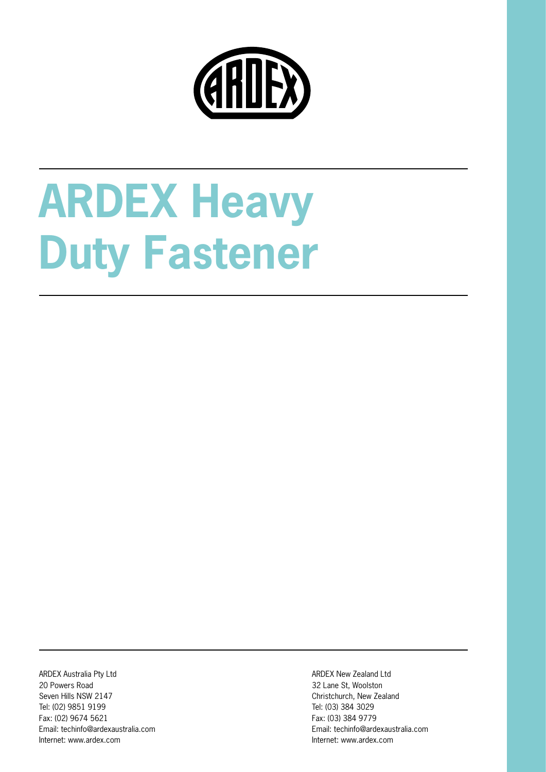

# **ARDEX Heavy Duty Fastener**

ARDEX Australia Pty Ltd 20 Powers Road Seven Hills NSW 2147 Tel: (02) 9851 9199 Fax: (02) 9674 5621 Email: techinfo@ardexaustralia.com Internet: www.ardex.com

ARDEX New Zealand Ltd 32 Lane St, Woolston Christchurch, New Zealand Tel: (03) 384 3029 Fax: (03) 384 9779 Email: techinfo@ardexaustralia.com Internet: www.ardex.com